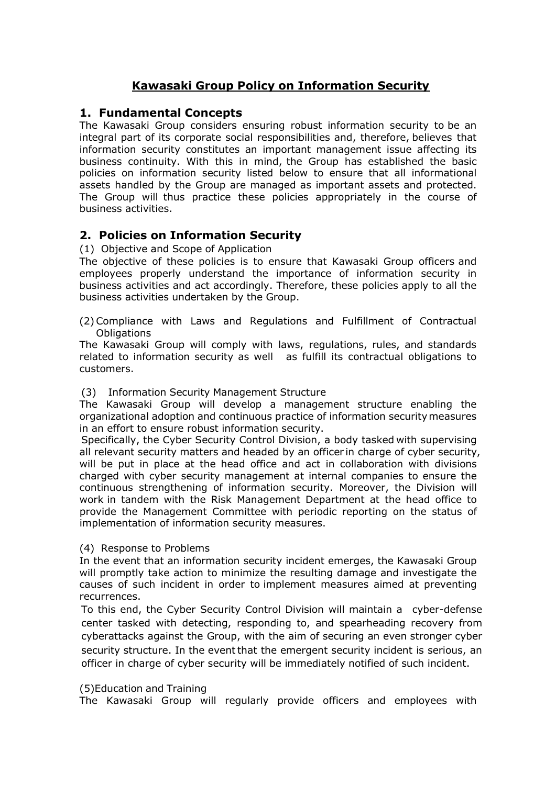# **Kawasaki Group Policy on Information Security**

### **1. Fundamental Concepts**

The Kawasaki Group considers ensuring robust information security to be an integral part of its corporate social responsibilities and, therefore, believes that information security constitutes an important management issue affecting its business continuity. With this in mind, the Group has established the basic policies on information security listed below to ensure that all informational assets handled by the Group are managed as important assets and protected. The Group will thus practice these policies appropriately in the course of business activities.

## **2. Policies on Information Security**

(1) Objective and Scope of Application

The objective of these policies is to ensure that Kawasaki Group officers and employees properly understand the importance of information security in business activities and act accordingly. Therefore, these policies apply to all the business activities undertaken by the Group.

(2)Compliance with Laws and Regulations and Fulfillment of Contractual **Obligations** 

The Kawasaki Group will comply with laws, regulations, rules, and standards related to information security as well as fulfill its contractual obligations to customers.

#### (3) Information Security Management Structure

The Kawasaki Group will develop a management structure enabling the organizational adoption and continuous practice of information securitymeasures in an effort to ensure robust information security.

Specifically, the Cyber Security Control Division, a body tasked with supervising all relevant security matters and headed by an officer in charge of cyber security, will be put in place at the head office and act in collaboration with divisions charged with cyber security management at internal companies to ensure the continuous strengthening of information security. Moreover, the Division will work in tandem with the Risk Management Department at the head office to provide the Management Committee with periodic reporting on the status of implementation of information security measures.

#### (4) Response to Problems

In the event that an information security incident emerges, the Kawasaki Group will promptly take action to minimize the resulting damage and investigate the causes of such incident in order to implement measures aimed at preventing recurrences.

To this end, the Cyber Security Control Division will maintain a cyber-defense center tasked with detecting, responding to, and spearheading recovery from cyberattacks against the Group, with the aim of securing an even stronger cyber security structure. In the event that the emergent security incident is serious, an officer in charge of cyber security will be immediately notified of such incident.

#### (5)Education and Training

The Kawasaki Group will regularly provide officers and employees with